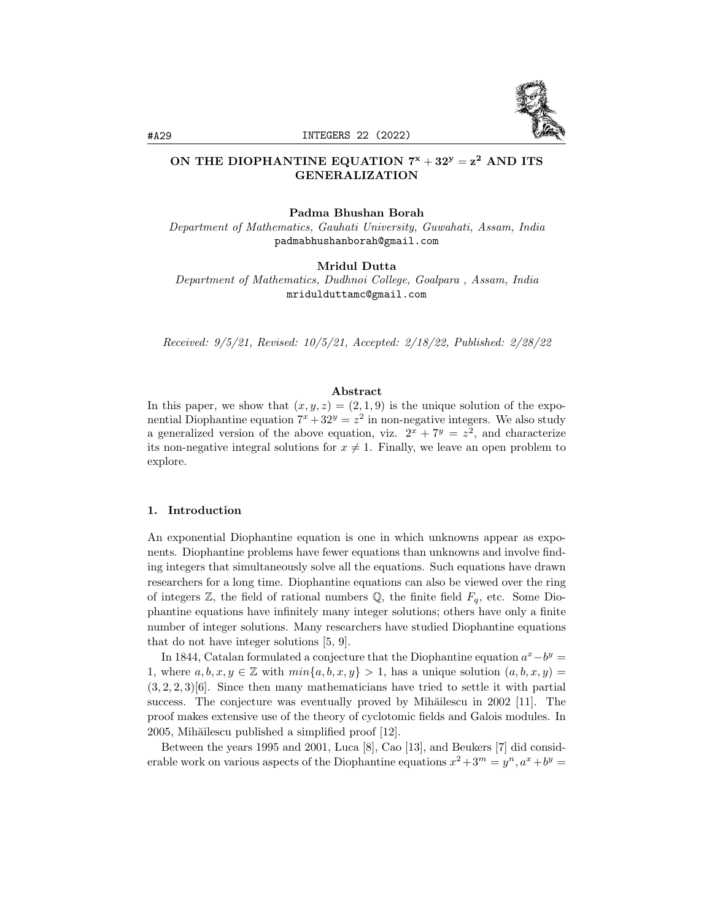

# ON THE DIOPHANTINE EQUATION  $7^x + 32^y = z^2$  and its GENERALIZATION

### Padma Bhushan Borah

Department of Mathematics, Gauhati University, Guwahati, Assam, India padmabhushanborah@gmail.com

Mridul Dutta

Department of Mathematics, Dudhnoi College, Goalpara , Assam, India mridulduttamc@gmail.com

Received: 9/5/21, Revised: 10/5/21, Accepted: 2/18/22, Published: 2/28/22

#### Abstract

In this paper, we show that  $(x, y, z) = (2, 1, 9)$  is the unique solution of the exponential Diophantine equation  $7^x + 32^y = z^2$  in non-negative integers. We also study a generalized version of the above equation, viz.  $2^{x} + 7^{y} = z^{2}$ , and characterize its non-negative integral solutions for  $x \neq 1$ . Finally, we leave an open problem to explore.

## 1. Introduction

An exponential Diophantine equation is one in which unknowns appear as exponents. Diophantine problems have fewer equations than unknowns and involve finding integers that simultaneously solve all the equations. Such equations have drawn researchers for a long time. Diophantine equations can also be viewed over the ring of integers  $\mathbb{Z}$ , the field of rational numbers  $\mathbb{Q}$ , the finite field  $F_q$ , etc. Some Diophantine equations have infinitely many integer solutions; others have only a finite number of integer solutions. Many researchers have studied Diophantine equations that do not have integer solutions [5, 9].

In 1844, Catalan formulated a conjecture that the Diophantine equation  $a^x - b^y =$ 1, where  $a, b, x, y \in \mathbb{Z}$  with  $min\{a, b, x, y\} > 1$ , has a unique solution  $(a, b, x, y) =$  $(3, 2, 2, 3)$ [6]. Since then many mathematicians have tried to settle it with partial success. The conjecture was eventually proved by Mihăilescu in 2002 [11]. The proof makes extensive use of the theory of cyclotomic fields and Galois modules. In 2005, Mihăilescu published a simplified proof [12].

Between the years 1995 and 2001, Luca [8], Cao [13], and Beukers [7] did considerable work on various aspects of the Diophantine equations  $x^2 + 3^m = y^n$ ,  $a^x + b^y =$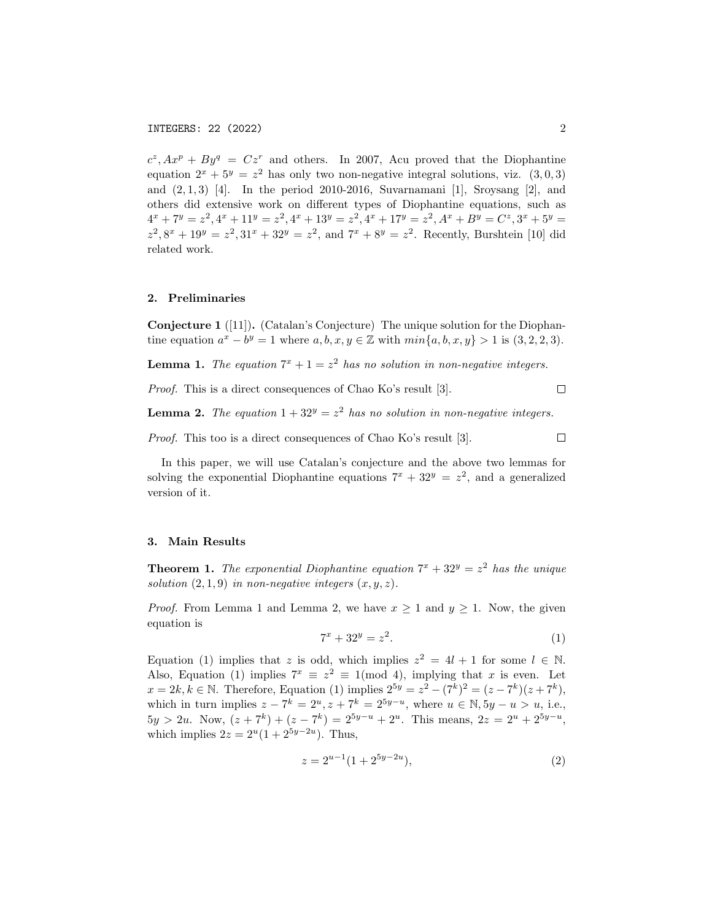$c^z$ ,  $Ax^p + By^q = Cz^r$  and others. In 2007, Acu proved that the Diophantine equation  $2^x + 5^y = z^2$  has only two non-negative integral solutions, viz.  $(3,0,3)$ and  $(2, 1, 3)$  [4]. In the period 2010-2016, Suvarnamani [1], Sroysang [2], and others did extensive work on different types of Diophantine equations, such as  $4^x + 7^y = z^2$ ,  $4^x + 11^y = z^2$ ,  $4^x + 13^y = z^2$ ,  $4^x + 17^y = z^2$ ,  $A^x + B^y = C^z$ ,  $3^x + 5^y = 1$  $z^2$ ,  $8^x + 19^y = z^2$ ,  $31^x + 32^y = z^2$ , and  $7^x + 8^y = z^2$ . Recently, Burshtein [10] did related work.

## 2. Preliminaries

Conjecture 1 ([11]). (Catalan's Conjecture) The unique solution for the Diophantine equation  $a^x - b^y = 1$  where  $a, b, x, y \in \mathbb{Z}$  with  $min\{a, b, x, y\} > 1$  is  $(3, 2, 2, 3)$ .

**Lemma 1.** The equation  $7^x + 1 = z^2$  has no solution in non-negative integers.

Proof. This is a direct consequences of Chao Ko's result [3].  $\Box$ 

**Lemma 2.** The equation  $1 + 32^y = z^2$  has no solution in non-negative integers.

Proof. This too is a direct consequences of Chao Ko's result [3].

 $\Box$ 

In this paper, we will use Catalan's conjecture and the above two lemmas for solving the exponential Diophantine equations  $7^x + 32^y = z^2$ , and a generalized version of it.

### 3. Main Results

**Theorem 1.** The exponential Diophantine equation  $7^x + 32^y = z^2$  has the unique solution  $(2, 1, 9)$  in non-negative integers  $(x, y, z)$ .

*Proof.* From Lemma 1 and Lemma 2, we have  $x \ge 1$  and  $y \ge 1$ . Now, the given equation is

$$
7^x + 32^y = z^2. \tag{1}
$$

Equation (1) implies that z is odd, which implies  $z^2 = 4l + 1$  for some  $l \in \mathbb{N}$ . Also, Equation (1) implies  $7^x \equiv z^2 \equiv 1 \pmod{4}$ , implying that x is even. Let  $x = 2k, k \in \mathbb{N}$ . Therefore, Equation (1) implies  $2^{5y} = z^2 - (7^k)^2 = (z - 7^k)(z + 7^k)$ , which in turn implies  $z - 7^k = 2^u, z + 7^k = 2^{5y-u}$ , where  $u \in \mathbb{N}, 5y - u > u$ , i.e.,  $5y > 2u$ . Now,  $(z + 7^k) + (z - 7^k) = 2^{5y-u} + 2^u$ . This means,  $2z = 2^u + 2^{5y-u}$ , which implies  $2z = 2^u(1 + 2^{5y-2u})$ . Thus,

$$
z = 2^{u-1}(1+2^{5y-2u}),
$$
\n(2)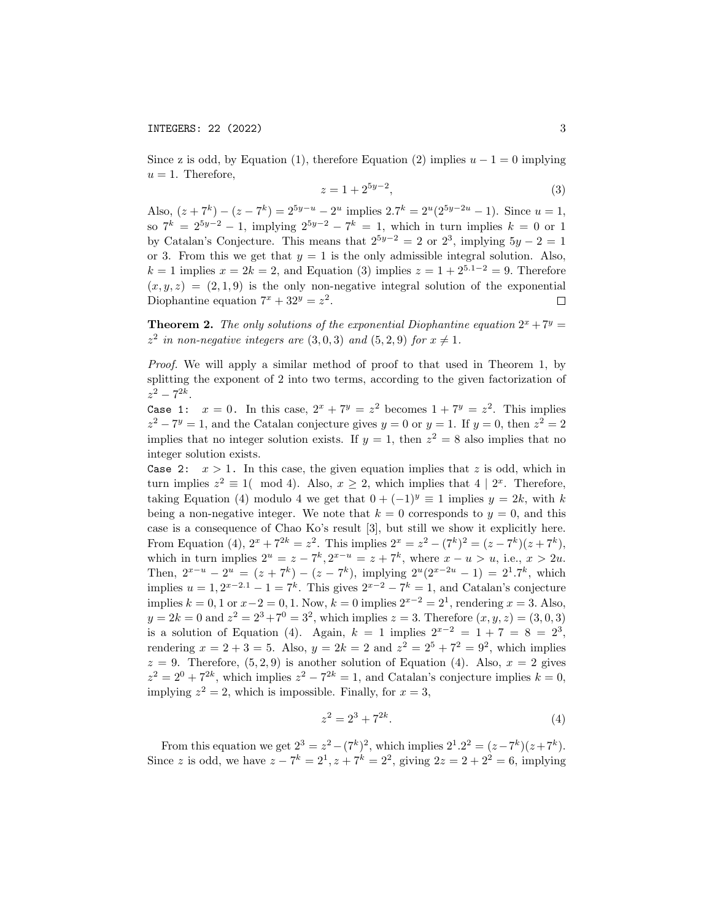Since z is odd, by Equation (1), therefore Equation (2) implies  $u - 1 = 0$  implying  $u = 1$ . Therefore,

$$
z = 1 + 2^{5y-2},\tag{3}
$$

Also,  $(z+7^k) - (z-7^k) = 2^{5y-u} - 2^u$  implies  $2.7^k = 2^u(2^{5y-2u} - 1)$ . Since  $u = 1$ , so  $7^k = 2^{5y-2} - 1$ , implying  $2^{5y-2} - 7^k = 1$ , which in turn implies  $k = 0$  or 1 by Catalan's Conjecture. This means that  $2^{5y-2} = 2$  or  $2^3$ , implying  $5y - 2 = 1$ or 3. From this we get that  $y = 1$  is the only admissible integral solution. Also,  $k = 1$  implies  $x = 2k = 2$ , and Equation (3) implies  $z = 1 + 2^{5.1-2} = 9$ . Therefore  $(x, y, z) = (2, 1, 9)$  is the only non-negative integral solution of the exponential Diophantine equation  $7^x + 32^y = z^2$ .  $\Box$ 

**Theorem 2.** The only solutions of the exponential Diophantine equation  $2^x + 7^y =$  $z^2$  in non-negative integers are  $(3,0,3)$  and  $(5,2,9)$  for  $x \neq 1$ .

Proof. We will apply a similar method of proof to that used in Theorem 1, by splitting the exponent of 2 into two terms, according to the given factorization of  $z^2 - 7^{2k}$ .

Case 1:  $x = 0$ . In this case,  $2^x + 7^y = z^2$  becomes  $1 + 7^y = z^2$ . This implies  $z^2 - 7^y = 1$ , and the Catalan conjecture gives  $y = 0$  or  $y = 1$ . If  $y = 0$ , then  $z^2 = 2$ implies that no integer solution exists. If  $y = 1$ , then  $z^2 = 8$  also implies that no integer solution exists.

Case 2:  $x > 1$ . In this case, the given equation implies that z is odd, which in turn implies  $z^2 \equiv 1 \pmod{4}$ . Also,  $x \geq 2$ , which implies that  $4 \mid 2^x$ . Therefore, taking Equation (4) modulo 4 we get that  $0 + (-1)^y \equiv 1$  implies  $y = 2k$ , with k being a non-negative integer. We note that  $k = 0$  corresponds to  $y = 0$ , and this case is a consequence of Chao Ko's result [3], but still we show it explicitly here. From Equation (4),  $2^x + 7^{2k} = z^2$ . This implies  $2^x = z^2 - (7^k)^2 = (z - 7^k)(z + 7^k)$ , which in turn implies  $2^u = z - 7^k, 2^{x-u} = z + 7^k$ , where  $x - u > u$ , i.e.,  $x > 2u$ . Then,  $2^{x-u} - 2^u = (z + 7^k) - (z - 7^k)$ , implying  $2^u(2^{x-2u} - 1) = 2^1 \cdot 7^k$ , which implies  $u = 1, 2^{x-2.1} - 1 = 7^k$ . This gives  $2^{x-2} - 7^k = 1$ , and Catalan's conjecture implies  $k = 0, 1$  or  $x - 2 = 0, 1$ . Now,  $k = 0$  implies  $2^{x-2} = 2^1$ , rendering  $x = 3$ . Also,  $y = 2k = 0$  and  $z^2 = 2^3 + 7^0 = 3^2$ , which implies  $z = 3$ . Therefore  $(x, y, z) = (3, 0, 3)$ is a solution of Equation (4). Again,  $k = 1$  implies  $2^{x-2} = 1 + 7 = 8 = 2^3$ , rendering  $x = 2 + 3 = 5$ . Also,  $y = 2k = 2$  and  $z^2 = 2^5 + 7^2 = 9^2$ , which implies  $z = 9$ . Therefore,  $(5, 2, 9)$  is another solution of Equation (4). Also,  $x = 2$  gives  $z^2 = 2^0 + 7^{2k}$ , which implies  $z^2 - 7^{2k} = 1$ , and Catalan's conjecture implies  $k = 0$ , implying  $z^2 = 2$ , which is impossible. Finally, for  $x = 3$ ,

$$
z^2 = 2^3 + 7^{2k}.\tag{4}
$$

From this equation we get  $2^3 = z^2 - (7^k)^2$ , which implies  $2^1 \cdot 2^2 = (z - 7^k)(z + 7^k)$ . Since z is odd, we have  $z - 7^k = 2^1, z + 7^k = 2^2$ , giving  $2z = 2 + 2^2 = 6$ , implying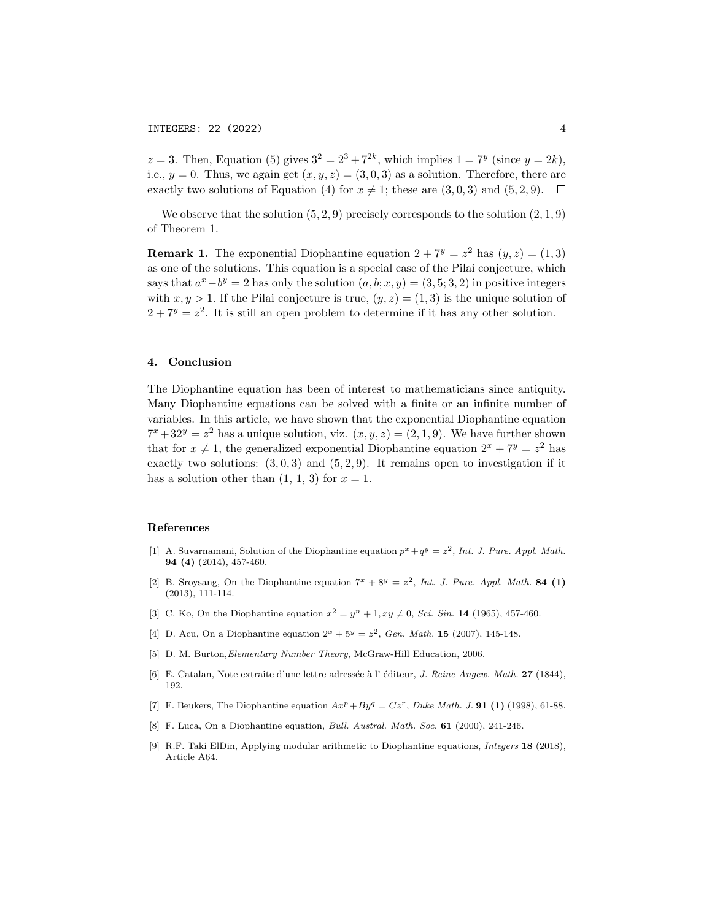$z = 3$ . Then, Equation (5) gives  $3^2 = 2^3 + 7^{2k}$ , which implies  $1 = 7^y$  (since  $y = 2k$ ), i.e.,  $y = 0$ . Thus, we again get  $(x, y, z) = (3, 0, 3)$  as a solution. Therefore, there are exactly two solutions of Equation (4) for  $x \neq 1$ ; these are  $(3, 0, 3)$  and  $(5, 2, 9)$ .  $\Box$ 

We observe that the solution  $(5, 2, 9)$  precisely corresponds to the solution  $(2, 1, 9)$ of Theorem 1.

**Remark 1.** The exponential Diophantine equation  $2 + 7^y = z^2$  has  $(y, z) = (1, 3)$ as one of the solutions. This equation is a special case of the Pilai conjecture, which says that  $a^x - b^y = 2$  has only the solution  $(a, b; x, y) = (3, 5; 3, 2)$  in positive integers with  $x, y > 1$ . If the Pilai conjecture is true,  $(y, z) = (1, 3)$  is the unique solution of  $2 + 7^y = z^2$ . It is still an open problem to determine if it has any other solution.

### 4. Conclusion

The Diophantine equation has been of interest to mathematicians since antiquity. Many Diophantine equations can be solved with a finite or an infinite number of variables. In this article, we have shown that the exponential Diophantine equation  $7^x + 32^y = z^2$  has a unique solution, viz.  $(x, y, z) = (2, 1, 9)$ . We have further shown that for  $x \neq 1$ , the generalized exponential Diophantine equation  $2^x + 7^y = z^2$  has exactly two solutions:  $(3,0,3)$  and  $(5,2,9)$ . It remains open to investigation if it has a solution other than  $(1, 1, 3)$  for  $x = 1$ .

#### References

- [1] A. Suvarnamani, Solution of the Diophantine equation  $p^x + q^y = z^2$ , Int. J. Pure. Appl. Math. 94 (4) (2014), 457-460.
- [2] B. Sroysang, On the Diophantine equation  $7^x + 8^y = z^2$ , Int. J. Pure. Appl. Math. 84 (1) (2013), 111-114.
- [3] C. Ko, On the Diophantine equation  $x^2 = y^n + 1$ ,  $xy \neq 0$ , *Sci. Sin.* 14 (1965), 457-460.
- [4] D. Acu, On a Diophantine equation  $2^x + 5^y = z^2$ , Gen. Math. **15** (2007), 145-148.
- [5] D. M. Burton,Elementary Number Theory, McGraw-Hill Education, 2006.
- [6] E. Catalan, Note extraite d'une lettre adressée à l'éditeur, *J. Reine Angew. Math.* 27 (1844), 192.
- [7] F. Beukers, The Diophantine equation  $Ax^p + By^q = Cz^r$ , Duke Math. J. 91 (1) (1998), 61-88.
- [8] F. Luca, On a Diophantine equation, Bull. Austral. Math. Soc. 61 (2000), 241-246.
- [9] R.F. Taki ElDin, Applying modular arithmetic to Diophantine equations, Integers 18 (2018), Article A64.